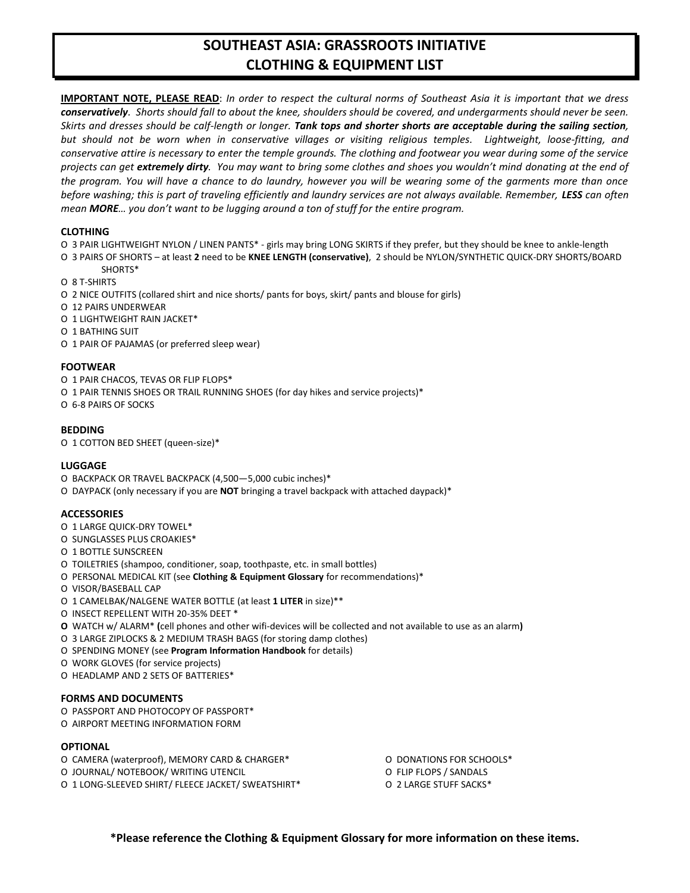# **SOUTHEAST ASIA: GRASSROOTS INITIATIVE CLOTHING & EQUIPMENT LIST**

**IMPORTANT NOTE, PLEASE READ**: *In order to respect the cultural norms of Southeast Asia it is important that we dress conservatively. Shorts should fall to about the knee, shoulders should be covered, and undergarments should never be seen. Skirts and dresses should be calf-length or longer. Tank tops and shorter shorts are acceptable during the sailing section, but should not be worn when in conservative villages or visiting religious temples. Lightweight, loose-fitting, and conservative attire is necessary to enter the temple grounds. The clothing and footwear you wear during some of the service projects can get extremely dirty. You may want to bring some clothes and shoes you wouldn't mind donating at the end of the program. You will have a chance to do laundry, however you will be wearing some of the garments more than once before washing; this is part of traveling efficiently and laundry services are not always available. Remember, LESS can often mean MORE… you don't want to be lugging around a ton of stuff for the entire program.*

# **CLOTHING**

- O 3 PAIR LIGHTWEIGHT NYLON / LINEN PANTS\* girls may bring LONG SKIRTS if they prefer, but they should be knee to ankle-length
- O 3 PAIRS OF SHORTS at least **2** need to be **KNEE LENGTH (conservative)**, 2 should be NYLON/SYNTHETIC QUICK-DRY SHORTS/BOARD SHORTS\*
- O 8 T-SHIRTS
- O 2 NICE OUTFITS (collared shirt and nice shorts/ pants for boys, skirt/ pants and blouse for girls)
- O 12 PAIRS UNDERWEAR
- O 1 LIGHTWEIGHT RAIN JACKET\*
- O 1 BATHING SUIT
- O 1 PAIR OF PAJAMAS (or preferred sleep wear)

# **FOOTWEAR**

- O 1 PAIR CHACOS, TEVAS OR FLIP FLOPS\*
- O 1 PAIR TENNIS SHOES OR TRAIL RUNNING SHOES (for day hikes and service projects)\*
- O 6-8 PAIRS OF SOCKS

# **BEDDING**

O 1 COTTON BED SHEET (queen-size)\*

# **LUGGAGE**

- O BACKPACK OR TRAVEL BACKPACK (4,500—5,000 cubic inches)\*
- O DAYPACK (only necessary if you are **NOT** bringing a travel backpack with attached daypack)\*

# **ACCESSORIES**

- O 1 LARGE QUICK-DRY TOWEL\*
- O SUNGLASSES PLUS CROAKIES\*
- O 1 BOTTLE SUNSCREEN
- O TOILETRIES (shampoo, conditioner, soap, toothpaste, etc. in small bottles)
- O PERSONAL MEDICAL KIT (see **Clothing & Equipment Glossary** for recommendations)\*
- O VISOR/BASEBALL CAP
- O 1 CAMELBAK/NALGENE WATER BOTTLE (at least **1 LITER** in size)\*\*
- O INSECT REPELLENT WITH 20-35% DEET \*
- **O** WATCH w/ ALARM\* **(**cell phones and other wifi-devices will be collected and not available to use as an alarm**)**
- O 3 LARGE ZIPLOCKS & 2 MEDIUM TRASH BAGS (for storing damp clothes)
- O SPENDING MONEY (see **Program Information Handbook** for details)
- O WORK GLOVES (for service projects)
- O HEADLAMP AND 2 SETS OF BATTERIES\*

# **FORMS AND DOCUMENTS**

- O PASSPORT AND PHOTOCOPY OF PASSPORT\*
- O AIRPORT MEETING INFORMATION FORM

# **OPTIONAL**

- O CAMERA (waterproof), MEMORY CARD & CHARGER\* O DONATIONS FOR SCHOOLS\*
- O JOURNAL/ NOTEBOOK/ WRITING UTENCIL O FLIP FLOPS / SANDALS
- O 1 LONG-SLEEVED SHIRT/ FLEECE JACKET/ SWEATSHIRT\* O 2 LARGE STUFF SACKS\*
- 
- - **\*Please reference the Clothing & Equipment Glossary for more information on these items.**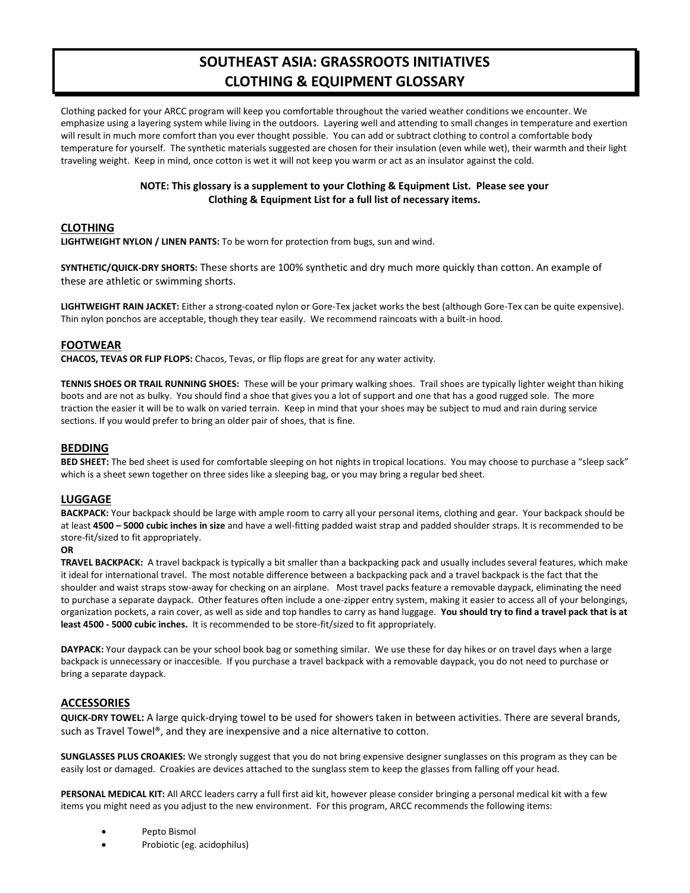# **SOUTHEAST ASIA: GRASSROOTS INITIATIVES CLOTHING & EQUIPMENT GLOSSARY**

Clothing packed for your ARCC program will keep you comfortable throughout the varied weather conditions we encounter. We emphasize using a layering system while living in the outdoors. Layering well and attending to small changes in temperature and exertion will result in much more comfort than you ever thought possible. You can add or subtract clothing to control a comfortable body temperature for yourself. The synthetic materials suggested are chosen for their insulation (even while wet), their warmth and their light traveling weight. Keep in mind, once cotton is wet it will not keep you warm or act as an insulator against the cold.

# **NOTE: This glossary is a supplement to your Clothing & Equipment List. Please see your Clothing & Equipment List for a full list of necessary items.**

#### **CLOTHING**

**LIGHTWEIGHT NYLON / LINEN PANTS:** To be worn for protection from bugs, sun and wind.

**SYNTHETIC/QUICK-DRY SHORTS:** These shorts are 100% synthetic and dry much more quickly than cotton. An example of these are athletic or swimming shorts.

**LIGHTWEIGHT RAIN JACKET:** Either a strong-coated nylon or Gore-Tex jacket works the best (although Gore-Tex can be quite expensive). Thin nylon ponchos are acceptable, though they tear easily. We recommend raincoats with a built-in hood.

#### **FOOTWEAR**

**CHACOS, TEVAS OR FLIP FLOPS:** Chacos, Tevas, or flip flops are great for any water activity.

**TENNIS SHOES OR TRAIL RUNNING SHOES:** These will be your primary walking shoes. Trail shoes are typically lighter weight than hiking boots and are not as bulky. You should find a shoe that gives you a lot of support and one that has a good rugged sole. The more traction the easier it will be to walk on varied terrain. Keep in mind that your shoes may be subject to mud and rain during service sections. If you would prefer to bring an older pair of shoes, that is fine.

#### **BEDDING**

**BED SHEET:** The bed sheet is used for comfortable sleeping on hot nights in tropical locations. You may choose to purchase a "sleep sack" which is a sheet sewn together on three sides like a sleeping bag, or you may bring a regular bed sheet.

#### **LUGGAGE**

**BACKPACK:** Your backpack should be large with ample room to carry all your personal items, clothing and gear. Your backpack should be at least **4500 – 5000 cubic inches in size** and have a well-fitting padded waist strap and padded shoulder straps. It is recommended to be store-fit/sized to fit appropriately.

# **OR**

**TRAVEL BACKPACK:** A travel backpack is typically a bit smaller than a backpacking pack and usually includes several features, which make it ideal for international travel. The most notable difference between a backpacking pack and a travel backpack is the fact that the shoulder and waist straps stow-away for checking on an airplane. Most travel packs feature a removable daypack, eliminating the need to purchase a separate daypack. Other features often include a one-zipper entry system, making it easier to access all of your belongings, organization pockets, a rain cover, as well as side and top handles to carry as hand luggage. **You should try to find a travel pack that is at least 4500 - 5000 cubic inches.** It is recommended to be store-fit/sized to fit appropriately.

**DAYPACK:** Your daypack can be your school book bag or something similar. We use these for day hikes or on travel days when a large backpack is unnecessary or inaccesible. If you purchase a travel backpack with a removable daypack, you do not need to purchase or bring a separate daypack.

# **ACCESSORIES**

**QUICK-DRY TOWEL:** A large quick-drying towel to be used for showers taken in between activities. There are several brands, such as Travel Towel®, and they are inexpensive and a nice alternative to cotton.

**SUNGLASSES PLUS CROAKIES:** We strongly suggest that you do not bring expensive designer sunglasses on this program as they can be easily lost or damaged. Croakies are devices attached to the sunglass stem to keep the glasses from falling off your head.

**PERSONAL MEDICAL KIT:** All ARCC leaders carry a full first aid kit, however please consider bringing a personal medical kit with a few items you might need as you adjust to the new environment. For this program, ARCC recommends the following items:

- Pepto Bismol
- Probiotic (eg. acidophilus)